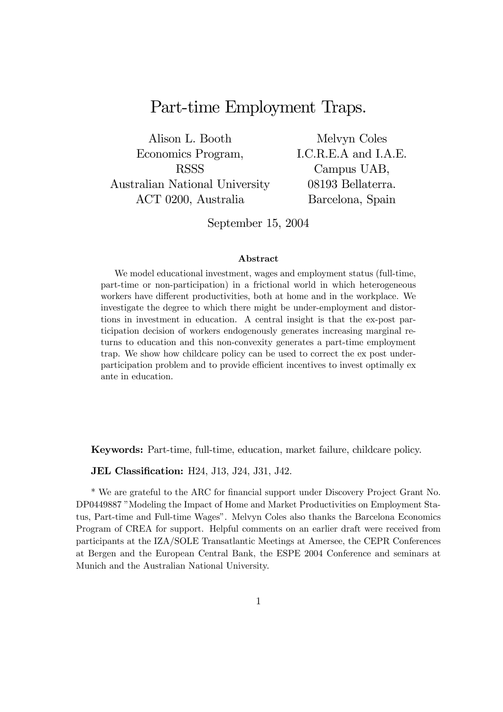# Part-time Employment Traps.

Alison L. Booth Economics Program, RSSS Australian National University ACT 0200, Australia

Melvyn Coles I.C.R.E.A and I.A.E. Campus UAB, 08193 Bellaterra. Barcelona, Spain

September 15, 2004

#### Abstract

We model educational investment, wages and employment status (full-time, part-time or non-participation) in a frictional world in which heterogeneous workers have different productivities, both at home and in the workplace. We investigate the degree to which there might be under-employment and distortions in investment in education. A central insight is that the ex-post participation decision of workers endogenously generates increasing marginal returns to education and this non-convexity generates a part-time employment trap. We show how childcare policy can be used to correct the ex post underparticipation problem and to provide efficient incentives to invest optimally ex ante in education.

Keywords: Part-time, full-time, education, market failure, childcare policy.

JEL Classification: H24, J13, J24, J31, J42.

\* We are grateful to the ARC for financial support under Discovery Project Grant No. DP0449887 "Modeling the Impact of Home and Market Productivities on Employment Status, Part-time and Full-time Wages". Melvyn Coles also thanks the Barcelona Economics Program of CREA for support. Helpful comments on an earlier draft were received from participants at the IZA/SOLE Transatlantic Meetings at Amersee, the CEPR Conferences at Bergen and the European Central Bank, the ESPE 2004 Conference and seminars at Munich and the Australian National University.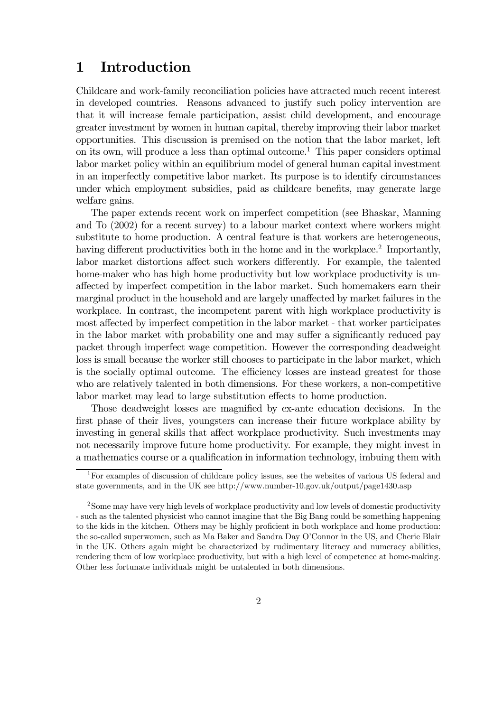## 1 Introduction

Childcare and work-family reconciliation policies have attracted much recent interest in developed countries. Reasons advanced to justify such policy intervention are that it will increase female participation, assist child development, and encourage greater investment by women in human capital, thereby improving their labor market opportunities. This discussion is premised on the notion that the labor market, left on its own, will produce a less than optimal outcome.1 This paper considers optimal labor market policy within an equilibrium model of general human capital investment in an imperfectly competitive labor market. Its purpose is to identify circumstances under which employment subsidies, paid as childcare benefits, may generate large welfare gains.

The paper extends recent work on imperfect competition (see Bhaskar, Manning and To (2002) for a recent survey) to a labour market context where workers might substitute to home production. A central feature is that workers are heterogeneous, having different productivities both in the home and in the workplace.<sup>2</sup> Importantly, labor market distortions affect such workers differently. For example, the talented home-maker who has high home productivity but low workplace productivity is unaffected by imperfect competition in the labor market. Such homemakers earn their marginal product in the household and are largely unaffected by market failures in the workplace. In contrast, the incompetent parent with high workplace productivity is most affected by imperfect competition in the labor market - that worker participates in the labor market with probability one and may suffer a significantly reduced pay packet through imperfect wage competition. However the corresponding deadweight loss is small because the worker still chooses to participate in the labor market, which is the socially optimal outcome. The efficiency losses are instead greatest for those who are relatively talented in both dimensions. For these workers, a non-competitive labor market may lead to large substitution effects to home production.

Those deadweight losses are magnified by ex-ante education decisions. In the first phase of their lives, youngsters can increase their future workplace ability by investing in general skills that affect workplace productivity. Such investments may not necessarily improve future home productivity. For example, they might invest in a mathematics course or a qualification in information technology, imbuing them with

<sup>&</sup>lt;sup>1</sup>For examples of discussion of childcare policy issues, see the websites of various US federal and state governments, and in the UK see http://www.number-10.gov.uk/output/page1430.asp

<sup>&</sup>lt;sup>2</sup>Some may have very high levels of workplace productivity and low levels of domestic productivity - such as the talented physicist who cannot imagine that the Big Bang could be something happening to the kids in the kitchen. Others may be highly proficient in both workplace and home production: the so-called superwomen, such as Ma Baker and Sandra Day O'Connor in the US, and Cherie Blair in the UK. Others again might be characterized by rudimentary literacy and numeracy abilities, rendering them of low workplace productivity, but with a high level of competence at home-making. Other less fortunate individuals might be untalented in both dimensions.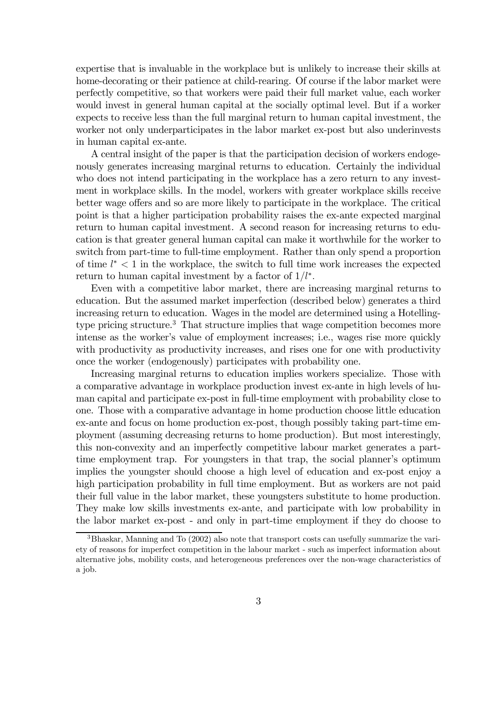expertise that is invaluable in the workplace but is unlikely to increase their skills at home-decorating or their patience at child-rearing. Of course if the labor market were perfectly competitive, so that workers were paid their full market value, each worker would invest in general human capital at the socially optimal level. But if a worker expects to receive less than the full marginal return to human capital investment, the worker not only underparticipates in the labor market ex-post but also underinvests in human capital ex-ante.

A central insight of the paper is that the participation decision of workers endogenously generates increasing marginal returns to education. Certainly the individual who does not intend participating in the workplace has a zero return to any investment in workplace skills. In the model, workers with greater workplace skills receive better wage offers and so are more likely to participate in the workplace. The critical point is that a higher participation probability raises the ex-ante expected marginal return to human capital investment. A second reason for increasing returns to education is that greater general human capital can make it worthwhile for the worker to switch from part-time to full-time employment. Rather than only spend a proportion of time  $l^*$  < 1 in the workplace, the switch to full time work increases the expected return to human capital investment by a factor of  $1/l^*$ .

Even with a competitive labor market, there are increasing marginal returns to education. But the assumed market imperfection (described below) generates a third increasing return to education. Wages in the model are determined using a Hotellingtype pricing structure.<sup>3</sup> That structure implies that wage competition becomes more intense as the worker's value of employment increases; i.e., wages rise more quickly with productivity as productivity increases, and rises one for one with productivity once the worker (endogenously) participates with probability one.

Increasing marginal returns to education implies workers specialize. Those with a comparative advantage in workplace production invest ex-ante in high levels of human capital and participate ex-post in full-time employment with probability close to one. Those with a comparative advantage in home production choose little education ex-ante and focus on home production ex-post, though possibly taking part-time employment (assuming decreasing returns to home production). But most interestingly, this non-convexity and an imperfectly competitive labour market generates a parttime employment trap. For youngsters in that trap, the social planner's optimum implies the youngster should choose a high level of education and ex-post enjoy a high participation probability in full time employment. But as workers are not paid their full value in the labor market, these youngsters substitute to home production. They make low skills investments ex-ante, and participate with low probability in the labor market ex-post - and only in part-time employment if they do choose to

<sup>&</sup>lt;sup>3</sup>Bhaskar, Manning and To (2002) also note that transport costs can usefully summarize the variety of reasons for imperfect competition in the labour market - such as imperfect information about alternative jobs, mobility costs, and heterogeneous preferences over the non-wage characteristics of a job.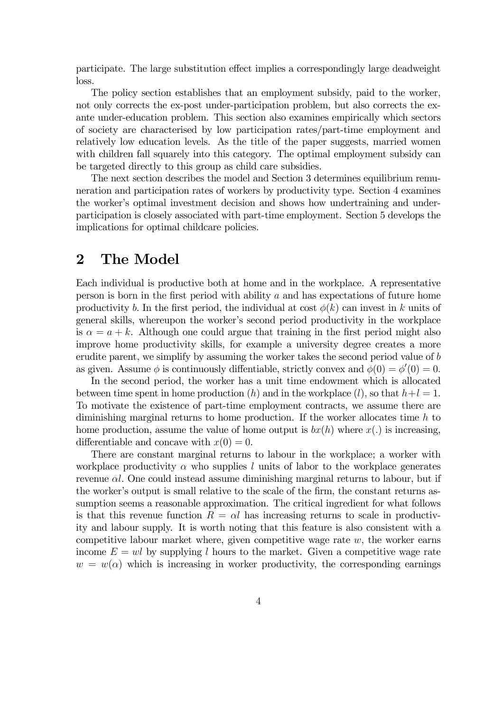participate. The large substitution effect implies a correspondingly large deadweight loss.

The policy section establishes that an employment subsidy, paid to the worker, not only corrects the ex-post under-participation problem, but also corrects the exante under-education problem. This section also examines empirically which sectors of society are characterised by low participation rates/part-time employment and relatively low education levels. As the title of the paper suggests, married women with children fall squarely into this category. The optimal employment subsidy can be targeted directly to this group as child care subsidies.

The next section describes the model and Section 3 determines equilibrium remuneration and participation rates of workers by productivity type. Section 4 examines the worker's optimal investment decision and shows how undertraining and underparticipation is closely associated with part-time employment. Section 5 develops the implications for optimal childcare policies.

### 2 The Model

Each individual is productive both at home and in the workplace. A representative person is born in the first period with ability a and has expectations of future home productivity b. In the first period, the individual at cost  $\phi(k)$  can invest in k units of general skills, whereupon the worker's second period productivity in the workplace is  $\alpha = a + k$ . Although one could argue that training in the first period might also improve home productivity skills, for example a university degree creates a more erudite parent, we simplify by assuming the worker takes the second period value of b as given. Assume  $\phi$  is continuously diffentiable, strictly convex and  $\phi(0) = \phi'(0) = 0$ .

In the second period, the worker has a unit time endowment which is allocated between time spent in home production  $(h)$  and in the workplace  $(l)$ , so that  $h+l=1$ . To motivate the existence of part-time employment contracts, we assume there are diminishing marginal returns to home production. If the worker allocates time  $h$  to home production, assume the value of home output is  $bx(h)$  where  $x(.)$  is increasing, differentiable and concave with  $x(0) = 0$ .

There are constant marginal returns to labour in the workplace; a worker with workplace productivity  $\alpha$  who supplies l units of labor to the workplace generates revenue  $\alpha l$ . One could instead assume diminishing marginal returns to labour, but if the worker's output is small relative to the scale of the firm, the constant returns assumption seems a reasonable approximation. The critical ingredient for what follows is that this revenue function  $R = \alpha l$  has increasing returns to scale in productivity and labour supply. It is worth noting that this feature is also consistent with a competitive labour market where, given competitive wage rate  $w$ , the worker earns income  $E = w l$  by supplying l hours to the market. Given a competitive wage rate  $w = w(\alpha)$  which is increasing in worker productivity, the corresponding earnings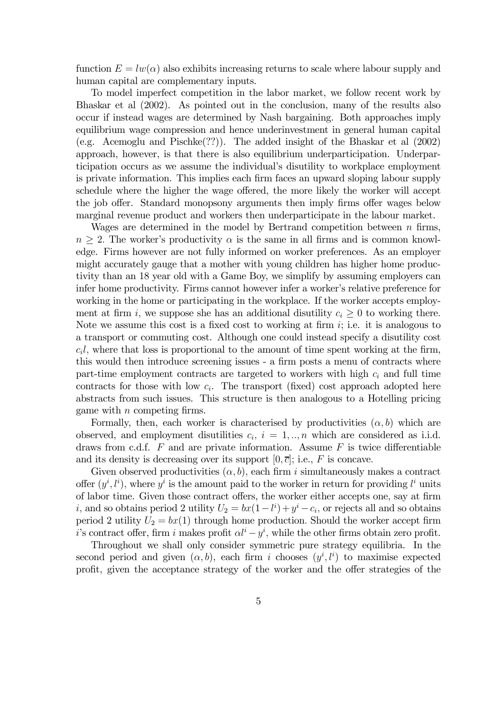function  $E = lw(\alpha)$  also exhibits increasing returns to scale where labour supply and human capital are complementary inputs.

To model imperfect competition in the labor market, we follow recent work by Bhaskar et al (2002). As pointed out in the conclusion, many of the results also occur if instead wages are determined by Nash bargaining. Both approaches imply equilibrium wage compression and hence underinvestment in general human capital (e.g. Acemoglu and Pischke(??)). The added insight of the Bhaskar et al (2002) approach, however, is that there is also equilibrium underparticipation. Underparticipation occurs as we assume the individual's disutility to workplace employment is private information. This implies each firm faces an upward sloping labour supply schedule where the higher the wage offered, the more likely the worker will accept the job offer. Standard monopsony arguments then imply firms offer wages below marginal revenue product and workers then underparticipate in the labour market.

Wages are determined in the model by Bertrand competition between  $n$  firms,  $n \geq 2$ . The worker's productivity  $\alpha$  is the same in all firms and is common knowledge. Firms however are not fully informed on worker preferences. As an employer might accurately gauge that a mother with young children has higher home productivity than an 18 year old with a Game Boy, we simplify by assuming employers can infer home productivity. Firms cannot however infer a worker's relative preference for working in the home or participating in the workplace. If the worker accepts employment at firm i, we suppose she has an additional disutility  $c_i \geq 0$  to working there. Note we assume this cost is a fixed cost to working at firm  $i$ ; i.e. it is analogous to a transport or commuting cost. Although one could instead specify a disutility cost  $c<sub>i</sub>l$ , where that loss is proportional to the amount of time spent working at the firm, this would then introduce screening issues - a firm posts a menu of contracts where part-time employment contracts are targeted to workers with high  $c_i$  and full time contracts for those with low  $c_i$ . The transport (fixed) cost approach adopted here abstracts from such issues. This structure is then analogous to a Hotelling pricing game with n competing firms.

Formally, then, each worker is characterised by productivities  $(\alpha, b)$  which are observed, and employment disutilities  $c_i$ ,  $i = 1, ..., n$  which are considered as i.i.d. draws from c.d.f.  $F$  and are private information. Assume  $F$  is twice differentiable and its density is decreasing over its support  $[0, \overline{c}]$ ; i.e., F is concave.

Given observed productivities  $(\alpha, b)$ , each firm i simultaneously makes a contract offer  $(y^i, l^i)$ , where  $y^i$  is the amount paid to the worker in return for providing  $l^i$  units of labor time. Given those contract offers, the worker either accepts one, say at firm i, and so obtains period 2 utility  $U_2 = bx(1 - l^i) + y^i - c_i$ , or rejects all and so obtains period 2 utility  $U_2 = bx(1)$  through home production. Should the worker accept firm i's contract offer, firm i makes profit  $\alpha l^i - y^i$ , while the other firms obtain zero profit.

Throughout we shall only consider symmetric pure strategy equilibria. In the second period and given  $(\alpha, b)$ , each firm i chooses  $(y^i, l^i)$  to maximise expected profit, given the acceptance strategy of the worker and the offer strategies of the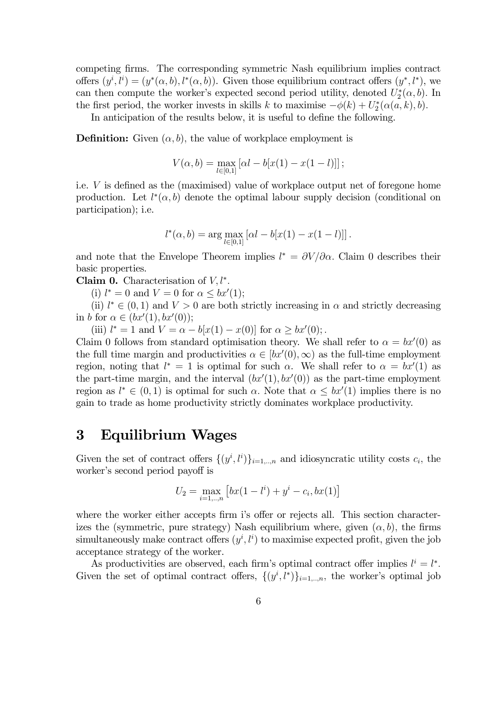competing firms. The corresponding symmetric Nash equilibrium implies contract offers  $(y^i, l^i) = (y^*(\alpha, b), l^*(\alpha, b))$ . Given those equilibrium contract offers  $(y^*, l^*)$ , we can then compute the worker's expected second period utility, denoted  $U_2^*(\alpha, b)$ . In the first period, the worker invests in skills k to maximise  $-\phi(k) + U_2^*(\alpha(a, k), b)$ .

In anticipation of the results below, it is useful to define the following.

**Definition:** Given  $(\alpha, b)$ , the value of workplace employment is

$$
V(\alpha, b) = \max_{l \in [0,1]} [\alpha l - b[x(1) - x(1 - l)]];
$$

i.e. V is defined as the (maximised) value of workplace output net of foregone home production. Let  $l^*(\alpha, b)$  denote the optimal labour supply decision (conditional on participation); i.e.

$$
l^{*}(\alpha, b) = \arg \max_{l \in [0, 1]} [\alpha l - b[x(1) - x(1 - l)]].
$$

and note that the Envelope Theorem implies  $l^* = \partial V/\partial \alpha$ . Claim 0 describes their basic properties.

**Claim 0.** Characterisation of  $V, l^*$ .

(i)  $l^* = 0$  and  $V = 0$  for  $\alpha \le bx'(1);$ 

(ii)  $l^* \in (0,1)$  and  $V > 0$  are both strictly increasing in  $\alpha$  and strictly decreasing in b for  $\alpha \in (bx'(1), bx'(0));$ 

(iii)  $l^* = 1$  and  $V = \alpha - b[x(1) - x(0)]$  for  $\alpha \ge bx'(0)$ ;

Claim 0 follows from standard optimisation theory. We shall refer to  $\alpha = bx'(0)$  as the full time margin and productivities  $\alpha \in [bx'(0), \infty)$  as the full-time employment region, noting that  $l^* = 1$  is optimal for such  $\alpha$ . We shall refer to  $\alpha = bx'(1)$  as the part-time margin, and the interval  $(bx'(1), bx'(0))$  as the part-time employment region as  $l^* \in (0,1)$  is optimal for such  $\alpha$ . Note that  $\alpha \leq bx'(1)$  implies there is no gain to trade as home productivity strictly dominates workplace productivity.

## 3 Equilibrium Wages

Given the set of contract offers  $\{(y^i, l^i)\}_{i=1,\dots,n}$  and idiosyncratic utility costs  $c_i$ , the worker's second period payoff is

$$
U_2 = \max_{i=1,..,n} \left[ bx(1 - l^i) + y^i - c_i, bx(1) \right]
$$

where the worker either accepts firm i's offer or rejects all. This section characterizes the (symmetric, pure strategy) Nash equilibrium where, given  $(\alpha, b)$ , the firms simultaneously make contract offers  $(y^i, l^i)$  to maximise expected profit, given the job acceptance strategy of the worker.

As productivities are observed, each firm's optimal contract offer implies  $l^i = l^*$ . Given the set of optimal contract offers,  $\{(y^i, l^*)\}_{i=1,\dots,n}$ , the worker's optimal job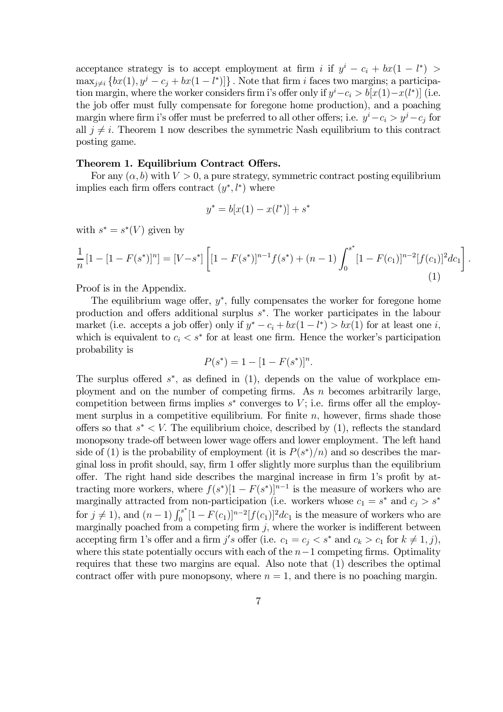acceptance strategy is to accept employment at firm i if  $y^i - c_i + bx(1 - l^*)$  $\max_{j\neq i} \{ bx(1), y^j - c_j + bx(1 - l^*) ] \}$ . Note that firm i faces two margins; a participation margin, where the worker considers firm i's offer only if  $y^{i} - c_{i} > b[x(1) - x(l^{*})]$  (i.e. the job offer must fully compensate for foregone home production), and a poaching margin where firm i's offer must be preferred to all other offers; i.e.  $y^{i} - c_i > y^{j} - c_j$  for all  $j \neq i$ . Theorem 1 now describes the symmetric Nash equilibrium to this contract posting game.

#### Theorem 1. Equilibrium Contract Offers.

For any  $(\alpha, b)$  with  $V > 0$ , a pure strategy, symmetric contract posting equilibrium implies each firm offers contract  $(y^*, l^*)$  where

$$
y^* = b[x(1) - x(l^*)] + s^*
$$

with  $s^* = s^*(V)$  given by

$$
\frac{1}{n}[1 - [1 - F(s^*)]^n] = [V - s^*] \left[ [1 - F(s^*)]^{n-1} f(s^*) + (n-1) \int_0^{s^*} [1 - F(c_1)]^{n-2} [f(c_1)]^2 dc_1 \right].
$$
\n(1)

Proof is in the Appendix.

The equilibrium wage offer,  $y^*$ , fully compensates the worker for foregone home production and offers additional surplus s<sup>∗</sup>. The worker participates in the labour market (i.e. accepts a job offer) only if  $y^* - c_i + bx(1 - l^*) > bx(1)$  for at least one *i*, which is equivalent to  $c_i < s^*$  for at least one firm. Hence the worker's participation probability is

$$
P(s^*) = 1 - [1 - F(s^*)]^n.
$$

The surplus offered  $s^*$ , as defined in (1), depends on the value of workplace employment and on the number of competing firms. As  $n$  becomes arbitrarily large, competition between firms implies  $s^*$  converges to V; i.e. firms offer all the employment surplus in a competitive equilibrium. For finite  $n$ , however, firms shade those offers so that  $s^* \leq V$ . The equilibrium choice, described by (1), reflects the standard monopsony trade-off between lower wage offers and lower employment. The left hand side of (1) is the probability of employment (it is  $P(s^*)/n$ ) and so describes the marginal loss in profit should, say, firm 1 offer slightly more surplus than the equilibrium offer. The right hand side describes the marginal increase in firm 1's profit by attracting more workers, where  $f(s^*)[1 - F(s^*)]^{n-1}$  is the measure of workers who are marginally attracted from non-participation (i.e. workers whose  $c_1 = s^*$  and  $c_j > s^*$ for  $j \neq 1$ , and  $(n-1) \int_0^{s^*} [1 - F(c_1)]^{n-2} [f(c_1)]^2 dc_1$  is the measure of workers who are marginally poached from a competing firm  $j$ , where the worker is indifferent between accepting firm 1's offer and a firm  $j's$  offer (i.e.  $c_1 = c_j < s^*$  and  $c_k > c_1$  for  $k \neq 1, j$ ), where this state potentially occurs with each of the  $n-1$  competing firms. Optimality requires that these two margins are equal. Also note that (1) describes the optimal contract offer with pure monopsony, where  $n = 1$ , and there is no poaching margin.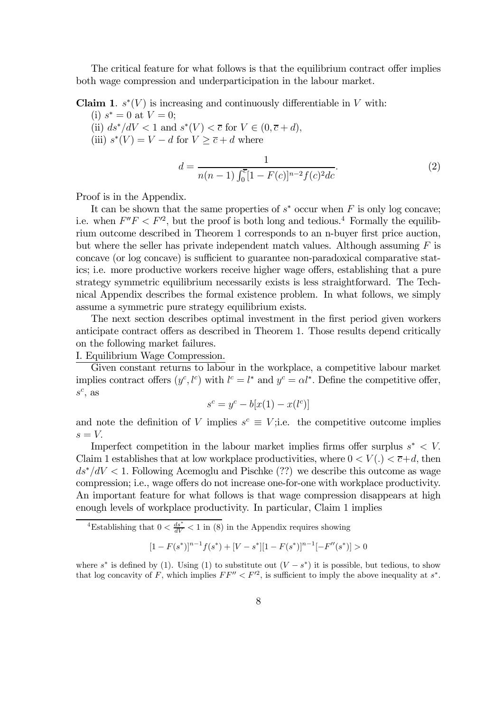The critical feature for what follows is that the equilibrium contract offer implies both wage compression and underparticipation in the labour market.

**Claim 1.**  $s^*(V)$  is increasing and continuously differentiable in V with:

(i)  $s^* = 0$  at  $V = 0$ ; (ii)  $ds^*/dV < 1$  and  $s^*(V) < \overline{c}$  for  $V \in (0, \overline{c} + d)$ , (iii)  $s^*(V) = V - d$  for  $V \geq \overline{c} + d$  where

$$
d = \frac{1}{n(n-1)\int_0^{\overline{c}} [1 - F(c)]^{n-2} f(c)^2 dc}.
$$
\n(2)

Proof is in the Appendix.

It can be shown that the same properties of  $s^*$  occur when F is only log concave; i.e. when  $F''F < F'^2$ , but the proof is both long and tedious.<sup>4</sup> Formally the equilibrium outcome described in Theorem 1 corresponds to an n-buyer first price auction, but where the seller has private independent match values. Although assuming  $F$  is concave (or log concave) is sufficient to guarantee non-paradoxical comparative statics; i.e. more productive workers receive higher wage offers, establishing that a pure strategy symmetric equilibrium necessarily exists is less straightforward. The Technical Appendix describes the formal existence problem. In what follows, we simply assume a symmetric pure strategy equilibrium exists.

The next section describes optimal investment in the first period given workers anticipate contract offers as described in Theorem 1. Those results depend critically on the following market failures.

I. Equilibrium Wage Compression.

Given constant returns to labour in the workplace, a competitive labour market implies contract offers  $(y^c, l^c)$  with  $l^c = l^*$  and  $y^c = \alpha l^*$ . Define the competitive offer,  $s^c$ , as

$$
s^c = y^c - b[x(1) - x(l^c)]
$$

and note the definition of V implies  $s^c \equiv V$ ; i.e. the competitive outcome implies  $s = V$ .

Imperfect competition in the labour market implies firms offer surplus  $s^* \leq V$ . Claim 1 establishes that at low workplace productivities, where  $0 < V(.) < \overline{c} + d$ , then  $ds<sup>*</sup>/dV < 1$ . Following Acemoglu and Pischke (??) we describe this outcome as wage compression; i.e., wage offers do not increase one-for-one with workplace productivity. An important feature for what follows is that wage compression disappears at high enough levels of workplace productivity. In particular, Claim 1 implies

<sup>4</sup>Establishing that  $0 < \frac{ds^*}{dV} < 1$  in (8) in the Appendix requires showing

$$
[1 - F(s^*)]^{n-1} f(s^*) + [V - s^*][1 - F(s^*)]^{n-1}[-F''(s^*)] > 0
$$

where s<sup>\*</sup> is defined by (1). Using (1) to substitute out  $(V - s<sup>*</sup>)$  it is possible, but tedious, to show that log concavity of F, which implies  $FF'' < F'^2$ , is sufficient to imply the above inequality at  $s^*$ .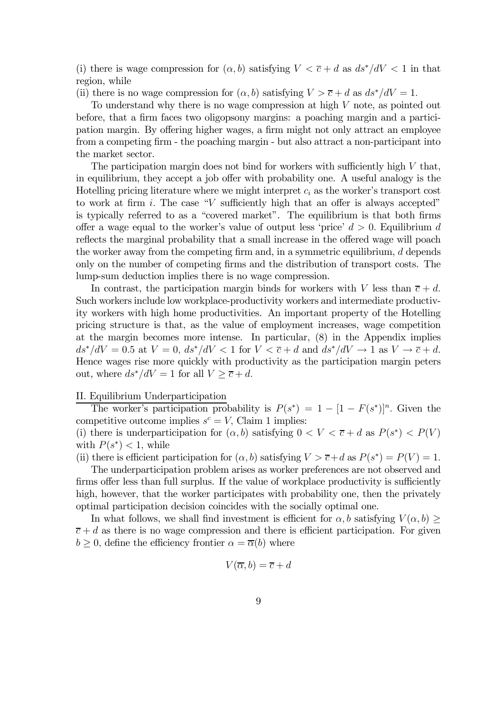(i) there is wage compression for  $(\alpha, b)$  satisfying  $V < \overline{c} + d$  as  $ds^*/dV < 1$  in that region, while

(ii) there is no wage compression for  $(\alpha, b)$  satisfying  $V > \overline{c} + d$  as  $ds^*/dV = 1$ .

To understand why there is no wage compression at high  $V$  note, as pointed out before, that a firm faces two oligopsony margins: a poaching margin and a participation margin. By offering higher wages, a firm might not only attract an employee from a competing firm - the poaching margin - but also attract a non-participant into the market sector.

The participation margin does not bind for workers with sufficiently high  $V$  that, in equilibrium, they accept a job offer with probability one. A useful analogy is the Hotelling pricing literature where we might interpret  $c_i$  as the worker's transport cost to work at firm i. The case "V sufficiently high that an offer is always accepted" is typically referred to as a "covered market". The equilibrium is that both firms offer a wage equal to the worker's value of output less 'price'  $d > 0$ . Equilibrium d reflects the marginal probability that a small increase in the offered wage will poach the worker away from the competing firm and, in a symmetric equilibrium,  $d$  depends only on the number of competing firms and the distribution of transport costs. The lump-sum deduction implies there is no wage compression.

In contrast, the participation margin binds for workers with V less than  $\overline{c} + d$ . Such workers include low workplace-productivity workers and intermediate productivity workers with high home productivities. An important property of the Hotelling pricing structure is that, as the value of employment increases, wage competition at the margin becomes more intense. In particular, (8) in the Appendix implies  $ds^*/dV = 0.5$  at  $V = 0$ ,  $ds^*/dV < 1$  for  $V < \overline{c} + d$  and  $ds^*/dV \rightarrow 1$  as  $V \rightarrow \overline{c} + d$ . Hence wages rise more quickly with productivity as the participation margin peters out, where  $ds^*/dV = 1$  for all  $V \geq \overline{c} + d$ .

#### II. Equilibrium Underparticipation

The worker's participation probability is  $P(s^*)=1 - [1 - F(s^*)]^n$ . Given the competitive outcome implies  $s^c = V$ , Claim 1 implies:

(i) there is underparticipation for  $(\alpha, b)$  satisfying  $0 < V < \overline{c} + d$  as  $P(s^*) < P(V)$ with  $P(s^*)$  < 1, while

(ii) there is efficient participation for  $(\alpha, b)$  satisfying  $V > \overline{c} + d$  as  $P(s^*) = P(V) = 1$ .

The underparticipation problem arises as worker preferences are not observed and firms offer less than full surplus. If the value of workplace productivity is sufficiently high, however, that the worker participates with probability one, then the privately optimal participation decision coincides with the socially optimal one.

In what follows, we shall find investment is efficient for  $\alpha, b$  satisfying  $V(\alpha, b)$  $\overline{c}$  + d as there is no wage compression and there is efficient participation. For given  $b > 0$ , define the efficiency frontier  $\alpha = \overline{\alpha}(b)$  where

$$
V(\overline{\alpha},b)=\overline{c}+d
$$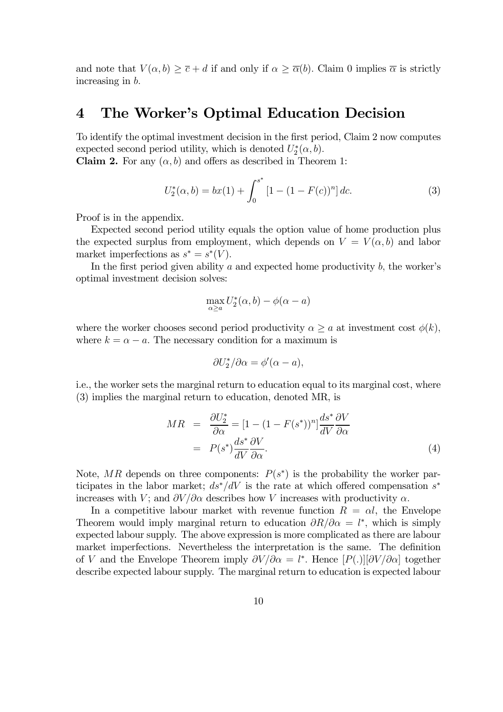and note that  $V(\alpha, b) \geq \overline{c} + d$  if and only if  $\alpha \geq \overline{\alpha}(b)$ . Claim 0 implies  $\overline{\alpha}$  is strictly increasing in b.

### 4 The Worker's Optimal Education Decision

To identify the optimal investment decision in the first period, Claim 2 now computes expected second period utility, which is denoted  $U_2^*(\alpha, b)$ .

**Claim 2.** For any  $(\alpha, b)$  and offers as described in Theorem 1:

$$
U_2^*(\alpha, b) = bx(1) + \int_0^{s^*} [1 - (1 - F(c))^n] \, dc. \tag{3}
$$

Proof is in the appendix.

Expected second period utility equals the option value of home production plus the expected surplus from employment, which depends on  $V = V(\alpha, b)$  and labor market imperfections as  $s^* = s^*(V)$ .

In the first period given ability  $a$  and expected home productivity  $b$ , the worker's optimal investment decision solves:

$$
\max_{\alpha \ge a} U_2^*(\alpha, b) - \phi(\alpha - a)
$$

where the worker chooses second period productivity  $\alpha \geq a$  at investment cost  $\phi(k)$ , where  $k = \alpha - a$ . The necessary condition for a maximum is

$$
\partial U_2^* / \partial \alpha = \phi'(\alpha - a),
$$

i.e., the worker sets the marginal return to education equal to its marginal cost, where (3) implies the marginal return to education, denoted MR, is

$$
MR = \frac{\partial U_2^*}{\partial \alpha} = [1 - (1 - F(s^*))^n] \frac{ds^*}{dV} \frac{\partial V}{\partial \alpha}
$$
  
=  $P(s^*) \frac{ds^*}{dV} \frac{\partial V}{\partial \alpha}.$  (4)

Note, MR depends on three components:  $P(s^*)$  is the probability the worker participates in the labor market;  $ds^*/dV$  is the rate at which offered compensation  $s^*$ increases with V; and  $\partial V/\partial \alpha$  describes how V increases with productivity  $\alpha$ .

In a competitive labour market with revenue function  $R = \alpha l$ , the Envelope Theorem would imply marginal return to education  $\partial R/\partial \alpha = l^*$ , which is simply expected labour supply. The above expression is more complicated as there are labour market imperfections. Nevertheless the interpretation is the same. The definition of V and the Envelope Theorem imply  $\partial V/\partial \alpha = l^*$ . Hence  $[P(.)][\partial V/\partial \alpha]$  together describe expected labour supply. The marginal return to education is expected labour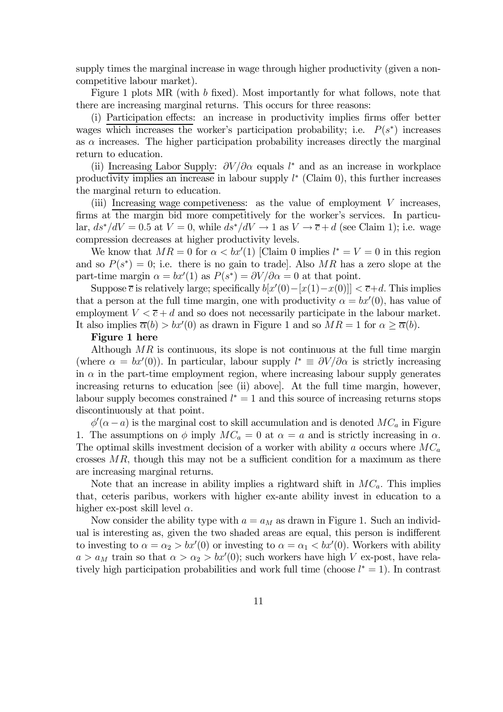supply times the marginal increase in wage through higher productivity (given a noncompetitive labour market).

Figure 1 plots MR (with b fixed). Most importantly for what follows, note that there are increasing marginal returns. This occurs for three reasons:

(i) Participation effects: an increase in productivity implies firms offer better wages which increases the worker's participation probability; i.e.  $P(s^*)$  increases as  $\alpha$  increases. The higher participation probability increases directly the marginal return to education.

(ii) Increasing Labor Supply:  $\partial V/\partial \alpha$  equals l<sup>\*</sup> and as an increase in workplace productivity implies an increase in labour supply  $l^*$  (Claim 0), this further increases the marginal return to education.

(iii) Increasing wage competiveness: as the value of employment V increases, firms at the margin bid more competitively for the worker's services. In particular,  $ds^*/dV = 0.5$  at  $V = 0$ , while  $ds^*/dV \rightarrow 1$  as  $V \rightarrow \overline{c} + d$  (see Claim 1); i.e. wage compression decreases at higher productivity levels.

We know that  $MR = 0$  for  $\alpha < bx'(1)$  [Claim 0 implies  $l^* = V = 0$  in this region and so  $P(s^*)=0$ ; i.e. there is no gain to trade. Also MR has a zero slope at the part-time margin  $\alpha = bx'(1)$  as  $P(s^*) = \partial V/\partial \alpha = 0$  at that point.

Suppose  $\overline{c}$  is relatively large; specifically  $b[x'(0) - [x(1) - x(0)]] < \overline{c} + d$ . This implies that a person at the full time margin, one with productivity  $\alpha = bx'(0)$ , has value of employment  $V < \overline{c} + d$  and so does not necessarily participate in the labour market. It also implies  $\overline{\alpha}(b) > bx'(0)$  as drawn in Figure 1 and so  $MR = 1$  for  $\alpha \geq \overline{\alpha}(b)$ .

#### Figure 1 here

Although  $MR$  is continuous, its slope is not continuous at the full time margin (where  $\alpha = bx'(0)$ ). In particular, labour supply  $l^* \equiv \partial V/\partial \alpha$  is strictly increasing in  $\alpha$  in the part-time employment region, where increasing labour supply generates increasing returns to education [see (ii) above]. At the full time margin, however, labour supply becomes constrained  $l^* = 1$  and this source of increasing returns stops discontinuously at that point.

 $\phi'(\alpha - a)$  is the marginal cost to skill accumulation and is denoted  $MC_a$  in Figure 1. The assumptions on  $\phi$  imply  $MC_a = 0$  at  $\alpha = a$  and is strictly increasing in  $\alpha$ . The optimal skills investment decision of a worker with ability a occurs where  $MC_a$ crosses  $MR$ , though this may not be a sufficient condition for a maximum as there are increasing marginal returns.

Note that an increase in ability implies a rightward shift in  $MC_a$ . This implies that, ceteris paribus, workers with higher ex-ante ability invest in education to a higher ex-post skill level  $\alpha$ .

Now consider the ability type with  $a = a_M$  as drawn in Figure 1. Such an individual is interesting as, given the two shaded areas are equal, this person is indifferent to investing to  $\alpha = \alpha_2 > bx'(0)$  or investing to  $\alpha = \alpha_1 < bx'(0)$ . Workers with ability  $a > a_M$  train so that  $\alpha > \alpha_2 > bx'(0)$ ; such workers have high V ex-post, have relatively high participation probabilities and work full time (choose  $l^* = 1$ ). In contrast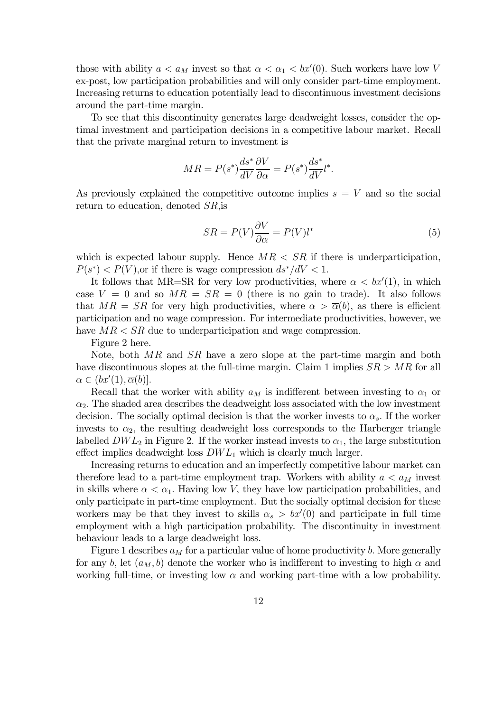those with ability  $a < a_M$  invest so that  $\alpha < a_1 < bx'(0)$ . Such workers have low V ex-post, low participation probabilities and will only consider part-time employment. Increasing returns to education potentially lead to discontinuous investment decisions around the part-time margin.

To see that this discontinuity generates large deadweight losses, consider the optimal investment and participation decisions in a competitive labour market. Recall that the private marginal return to investment is

$$
MR = P(s^*)\frac{ds^*}{dV}\frac{\partial V}{\partial \alpha} = P(s^*)\frac{ds^*}{dV}l^*.
$$

As previously explained the competitive outcome implies  $s = V$  and so the social return to education, denoted SR,is

$$
SR = P(V)\frac{\partial V}{\partial \alpha} = P(V)l^*
$$
\n(5)

which is expected labour supply. Hence  $MR < SR$  if there is underparticipation,  $P(s^*)$  <  $P(V)$ , or if there is wage compression  $ds^*/dV < 1$ .

It follows that MR=SR for very low productivities, where  $\alpha < bx'(1)$ , in which case  $V = 0$  and so  $MR = SR = 0$  (there is no gain to trade). It also follows that  $MR = SR$  for very high productivities, where  $\alpha > \overline{\alpha}(b)$ , as there is efficient participation and no wage compression. For intermediate productivities, however, we have  $MR < SR$  due to underparticipation and wage compression.

Figure 2 here.

Note, both MR and SR have a zero slope at the part-time margin and both have discontinuous slopes at the full-time margin. Claim 1 implies  $SR > MR$  for all  $\alpha \in (bx'(1), \overline{\alpha}(b)].$ 

Recall that the worker with ability  $a_M$  is indifferent between investing to  $\alpha_1$  or  $\alpha_2$ . The shaded area describes the deadweight loss associated with the low investment decision. The socially optimal decision is that the worker invests to  $\alpha_s$ . If the worker invests to  $\alpha_2$ , the resulting deadweight loss corresponds to the Harberger triangle labelled  $DWL_2$  in Figure 2. If the worker instead invests to  $\alpha_1$ , the large substitution effect implies deadweight loss  $DWL_1$  which is clearly much larger.

Increasing returns to education and an imperfectly competitive labour market can therefore lead to a part-time employment trap. Workers with ability  $a < a_M$  invest in skills where  $\alpha < \alpha_1$ . Having low V, they have low participation probabilities, and only participate in part-time employment. But the socially optimal decision for these workers may be that they invest to skills  $\alpha_s > bx'(0)$  and participate in full time employment with a high participation probability. The discontinuity in investment behaviour leads to a large deadweight loss.

Figure 1 describes  $a_M$  for a particular value of home productivity b. More generally for any b, let  $(a_M, b)$  denote the worker who is indifferent to investing to high  $\alpha$  and working full-time, or investing low  $\alpha$  and working part-time with a low probability.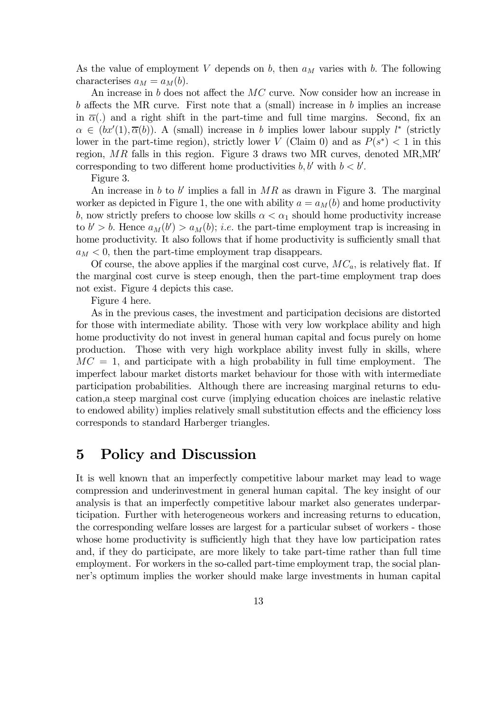As the value of employment V depends on b, then  $a_M$  varies with b. The following characterises  $a_M = a_M(b)$ .

An increase in b does not affect the MC curve. Now consider how an increase in b affects the MR curve. First note that a (small) increase in b implies an increase in  $\overline{\alpha}$ (.) and a right shift in the part-time and full time margins. Second, fix an  $\alpha \in (bx'(1), \overline{\alpha}(b))$ . A (small) increase in b implies lower labour supply l<sup>\*</sup> (strictly lower in the part-time region), strictly lower V (Claim 0) and as  $P(s^*) < 1$  in this region,  $MR$  falls in this region. Figure 3 draws two MR curves, denoted MR,MR' corresponding to two different home productivities  $b, b'$  with  $b < b'$ .

Figure 3.

An increase in b to b' implies a fall in  $MR$  as drawn in Figure 3. The marginal worker as depicted in Figure 1, the one with ability  $a = a<sub>M</sub>(b)$  and home productivity b, now strictly prefers to choose low skills  $\alpha < \alpha_1$  should home productivity increase to  $b' > b$ . Hence  $a_M(b') > a_M(b)$ ; *i.e.* the part-time employment trap is increasing in home productivity. It also follows that if home productivity is sufficiently small that  $a_M < 0$ , then the part-time employment trap disappears.

Of course, the above applies if the marginal cost curve,  $MC_a$ , is relatively flat. If the marginal cost curve is steep enough, then the part-time employment trap does not exist. Figure 4 depicts this case.

Figure 4 here.

As in the previous cases, the investment and participation decisions are distorted for those with intermediate ability. Those with very low workplace ability and high home productivity do not invest in general human capital and focus purely on home production. Those with very high workplace ability invest fully in skills, where  $MC = 1$ , and participate with a high probability in full time employment. The imperfect labour market distorts market behaviour for those with with intermediate participation probabilities. Although there are increasing marginal returns to education,a steep marginal cost curve (implying education choices are inelastic relative to endowed ability) implies relatively small substitution effects and the efficiency loss corresponds to standard Harberger triangles.

### 5 Policy and Discussion

It is well known that an imperfectly competitive labour market may lead to wage compression and underinvestment in general human capital. The key insight of our analysis is that an imperfectly competitive labour market also generates underparticipation. Further with heterogeneous workers and increasing returns to education, the corresponding welfare losses are largest for a particular subset of workers - those whose home productivity is sufficiently high that they have low participation rates and, if they do participate, are more likely to take part-time rather than full time employment. For workers in the so-called part-time employment trap, the social planner's optimum implies the worker should make large investments in human capital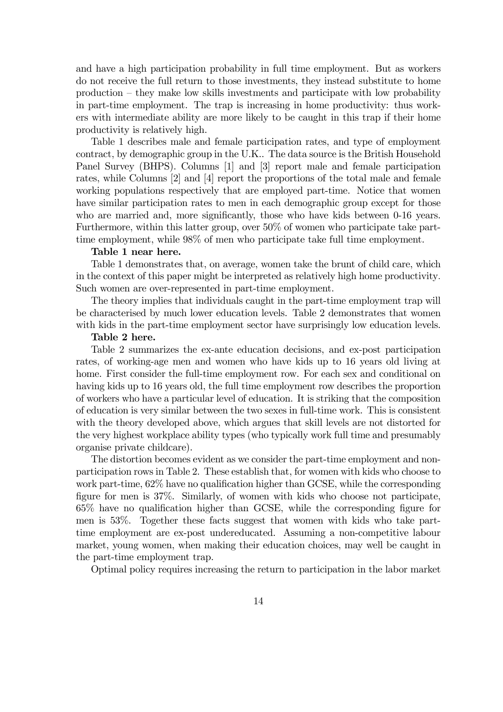and have a high participation probability in full time employment. But as workers do not receive the full return to those investments, they instead substitute to home production — they make low skills investments and participate with low probability in part-time employment. The trap is increasing in home productivity: thus workers with intermediate ability are more likely to be caught in this trap if their home productivity is relatively high.

Table 1 describes male and female participation rates, and type of employment contract, by demographic group in the U.K.. The data source is the British Household Panel Survey (BHPS). Columns [1] and [3] report male and female participation rates, while Columns [2] and [4] report the proportions of the total male and female working populations respectively that are employed part-time. Notice that women have similar participation rates to men in each demographic group except for those who are married and, more significantly, those who have kids between 0-16 years. Furthermore, within this latter group, over 50% of women who participate take parttime employment, while 98% of men who participate take full time employment.

#### Table 1 near here.

Table 1 demonstrates that, on average, women take the brunt of child care, which in the context of this paper might be interpreted as relatively high home productivity. Such women are over-represented in part-time employment.

The theory implies that individuals caught in the part-time employment trap will be characterised by much lower education levels. Table 2 demonstrates that women with kids in the part-time employment sector have surprisingly low education levels.

#### Table 2 here.

Table 2 summarizes the ex-ante education decisions, and ex-post participation rates, of working-age men and women who have kids up to 16 years old living at home. First consider the full-time employment row. For each sex and conditional on having kids up to 16 years old, the full time employment row describes the proportion of workers who have a particular level of education. It is striking that the composition of education is very similar between the two sexes in full-time work. This is consistent with the theory developed above, which argues that skill levels are not distorted for the very highest workplace ability types (who typically work full time and presumably organise private childcare).

The distortion becomes evident as we consider the part-time employment and nonparticipation rows in Table 2. These establish that, for women with kids who choose to work part-time, 62% have no qualification higher than GCSE, while the corresponding figure for men is 37%. Similarly, of women with kids who choose not participate, 65% have no qualification higher than GCSE, while the corresponding figure for men is 53%. Together these facts suggest that women with kids who take parttime employment are ex-post undereducated. Assuming a non-competitive labour market, young women, when making their education choices, may well be caught in the part-time employment trap.

Optimal policy requires increasing the return to participation in the labor market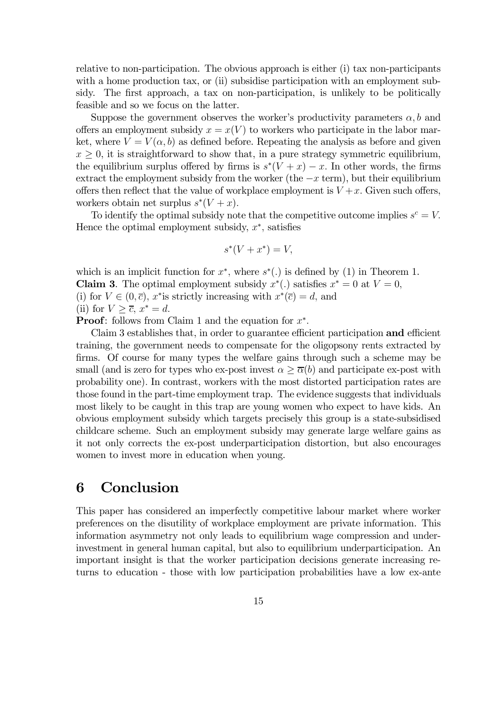relative to non-participation. The obvious approach is either (i) tax non-participants with a home production tax, or (ii) subsidise participation with an employment subsidy. The first approach, a tax on non-participation, is unlikely to be politically feasible and so we focus on the latter.

Suppose the government observes the worker's productivity parameters  $\alpha, b$  and offers an employment subsidy  $x = x(V)$  to workers who participate in the labor market, where  $V = V(\alpha, b)$  as defined before. Repeating the analysis as before and given  $x \geq 0$ , it is straightforward to show that, in a pure strategy symmetric equilibrium, the equilibrium surplus offered by firms is  $s*(V + x) - x$ . In other words, the firms extract the employment subsidy from the worker (the  $-x$  term), but their equilibrium offers then reflect that the value of workplace employment is  $V+x$ . Given such offers, workers obtain net surplus  $s^*(V + x)$ .

To identify the optimal subsidy note that the competitive outcome implies  $s^c = V$ . Hence the optimal employment subsidy,  $x^*$ , satisfies

$$
s^*(V + x^*) = V,
$$

which is an implicit function for  $x^*$ , where  $s^*$ .) is defined by (1) in Theorem 1. **Claim 3.** The optimal employment subsidy  $x^*(.)$  satisfies  $x^* = 0$  at  $V = 0$ , (i) for  $V \in (0, \bar{c})$ , x<sup>\*</sup>is strictly increasing with  $x^*(\bar{c}) = d$ , and (ii) for  $V \geq \overline{c}$ ,  $x^* = d$ .

**Proof:** follows from Claim 1 and the equation for  $x^*$ .

Claim 3 establishes that, in order to guarantee efficient participation and efficient training, the government needs to compensate for the oligopsony rents extracted by firms. Of course for many types the welfare gains through such a scheme may be small (and is zero for types who ex-post invest  $\alpha \geq \overline{\alpha}(b)$  and participate ex-post with probability one). In contrast, workers with the most distorted participation rates are those found in the part-time employment trap. The evidence suggests that individuals most likely to be caught in this trap are young women who expect to have kids. An obvious employment subsidy which targets precisely this group is a state-subsidised childcare scheme. Such an employment subsidy may generate large welfare gains as it not only corrects the ex-post underparticipation distortion, but also encourages women to invest more in education when young.

## 6 Conclusion

This paper has considered an imperfectly competitive labour market where worker preferences on the disutility of workplace employment are private information. This information asymmetry not only leads to equilibrium wage compression and underinvestment in general human capital, but also to equilibrium underparticipation. An important insight is that the worker participation decisions generate increasing returns to education - those with low participation probabilities have a low ex-ante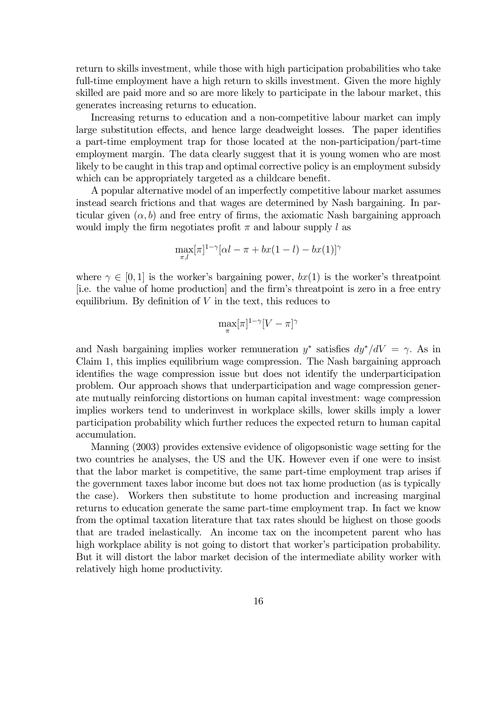return to skills investment, while those with high participation probabilities who take full-time employment have a high return to skills investment. Given the more highly skilled are paid more and so are more likely to participate in the labour market, this generates increasing returns to education.

Increasing returns to education and a non-competitive labour market can imply large substitution effects, and hence large deadweight losses. The paper identifies a part-time employment trap for those located at the non-participation/part-time employment margin. The data clearly suggest that it is young women who are most likely to be caught in this trap and optimal corrective policy is an employment subsidy which can be appropriately targeted as a childcare benefit.

A popular alternative model of an imperfectly competitive labour market assumes instead search frictions and that wages are determined by Nash bargaining. In particular given  $(\alpha, b)$  and free entry of firms, the axiomatic Nash bargaining approach would imply the firm negotiates profit  $\pi$  and labour supply l as

$$
\max_{\pi,l} [\pi]^{1-\gamma} [\alpha l - \pi + bx(1-l) - bx(1)]^{\gamma}
$$

where  $\gamma \in [0,1]$  is the worker's bargaining power,  $bx(1)$  is the worker's threatpoint [i.e. the value of home production] and the firm's threatpoint is zero in a free entry equilibrium. By definition of  $V$  in the text, this reduces to

$$
\max_{\pi} [\pi]^{1-\gamma} [V - \pi]^{\gamma}
$$

and Nash bargaining implies worker remuneration  $y^*$  satisfies  $dy^*/dV = \gamma$ . As in Claim 1, this implies equilibrium wage compression. The Nash bargaining approach identifies the wage compression issue but does not identify the underparticipation problem. Our approach shows that underparticipation and wage compression generate mutually reinforcing distortions on human capital investment: wage compression implies workers tend to underinvest in workplace skills, lower skills imply a lower participation probability which further reduces the expected return to human capital accumulation.

Manning (2003) provides extensive evidence of oligopsonistic wage setting for the two countries he analyses, the US and the UK. However even if one were to insist that the labor market is competitive, the same part-time employment trap arises if the government taxes labor income but does not tax home production (as is typically the case). Workers then substitute to home production and increasing marginal returns to education generate the same part-time employment trap. In fact we know from the optimal taxation literature that tax rates should be highest on those goods that are traded inelastically. An income tax on the incompetent parent who has high workplace ability is not going to distort that worker's participation probability. But it will distort the labor market decision of the intermediate ability worker with relatively high home productivity.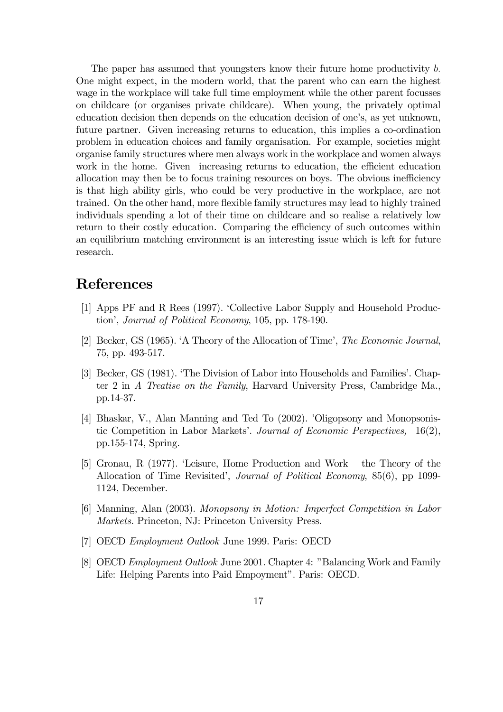The paper has assumed that youngsters know their future home productivity b. One might expect, in the modern world, that the parent who can earn the highest wage in the workplace will take full time employment while the other parent focusses on childcare (or organises private childcare). When young, the privately optimal education decision then depends on the education decision of one's, as yet unknown, future partner. Given increasing returns to education, this implies a co-ordination problem in education choices and family organisation. For example, societies might organise family structures where men always work in the workplace and women always work in the home. Given increasing returns to education, the efficient education allocation may then be to focus training resources on boys. The obvious inefficiency is that high ability girls, who could be very productive in the workplace, are not trained. On the other hand, more flexible family structures may lead to highly trained individuals spending a lot of their time on childcare and so realise a relatively low return to their costly education. Comparing the efficiency of such outcomes within an equilibrium matching environment is an interesting issue which is left for future research.

# References

- [1] Apps PF and R Rees (1997). 'Collective Labor Supply and Household Production', Journal of Political Economy, 105, pp. 178-190.
- [2] Becker, GS (1965). 'A Theory of the Allocation of Time', The Economic Journal, 75, pp. 493-517.
- [3] Becker, GS (1981). 'The Division of Labor into Households and Families'. Chapter 2 in A Treatise on the Family, Harvard University Press, Cambridge Ma., pp.14-37.
- [4] Bhaskar, V., Alan Manning and Ted To (2002). 'Oligopsony and Monopsonistic Competition in Labor Markets'. Journal of Economic Perspectives, 16(2), pp.155-174, Spring.
- [5] Gronau, R (1977). 'Leisure, Home Production and Work the Theory of the Allocation of Time Revisited', Journal of Political Economy, 85(6), pp 1099- 1124, December.
- [6] Manning, Alan (2003). Monopsony in Motion: Imperfect Competition in Labor Markets. Princeton, NJ: Princeton University Press.
- [7] OECD Employment Outlook June 1999. Paris: OECD
- [8] OECD Employment Outlook June 2001. Chapter 4: "Balancing Work and Family Life: Helping Parents into Paid Empoyment". Paris: OECD.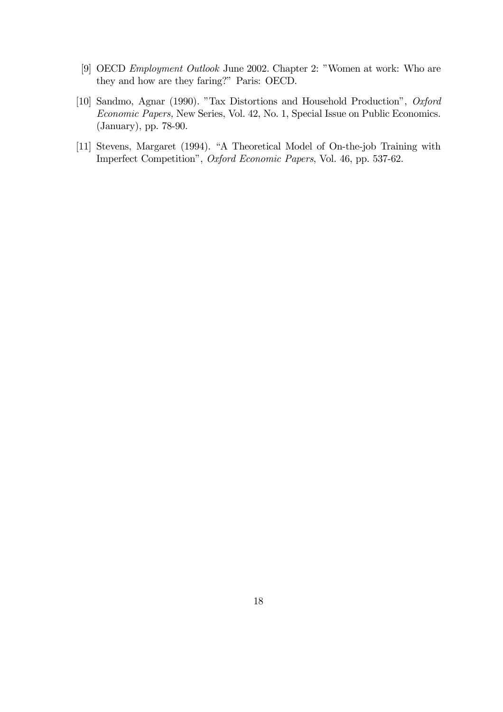- [9] OECD Employment Outlook June 2002. Chapter 2: "Women at work: Who are they and how are they faring?" Paris: OECD.
- [10] Sandmo, Agnar (1990). "Tax Distortions and Household Production", Oxford Economic Papers, New Series, Vol. 42, No. 1, Special Issue on Public Economics. (January), pp. 78-90.
- [11] Stevens, Margaret (1994). "A Theoretical Model of On-the-job Training with Imperfect Competition", Oxford Economic Papers, Vol. 46, pp. 537-62.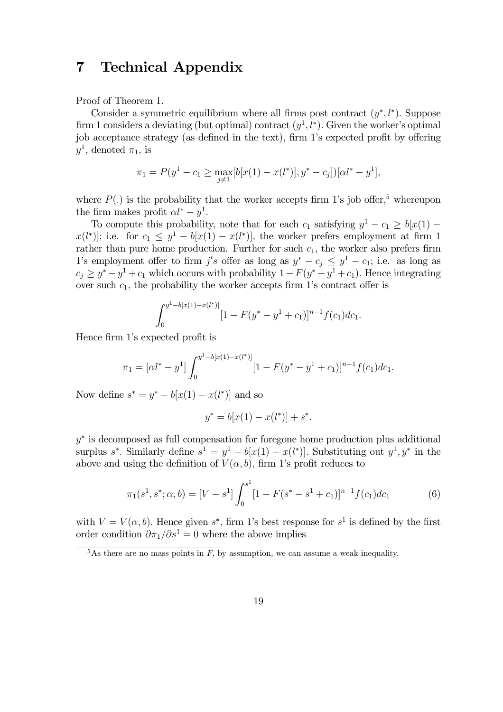## 7 Technical Appendix

Proof of Theorem 1.

Consider a symmetric equilibrium where all firms post contract  $(y^*, l^*)$ . Suppose firm 1 considers a deviating (but optimal) contract  $(y^1, l^*)$ . Given the worker's optimal job acceptance strategy (as defined in the text), firm 1's expected profit by offering  $y^1$ , denoted  $\pi_1$ , is

$$
\pi_1 = P(y^1 - c_1 \ge \max_{j \neq 1} [b[x(1) - x(l^*)], y^* - c_j])[\alpha l^* - y^1],
$$

where  $P(.)$  is the probability that the worker accepts firm 1's job offer,<sup>5</sup> whereupon the firm makes profit  $\alpha l^* - y^1$ .

To compute this probability, note that for each  $c_1$  satisfying  $y^1 - c_1 \ge b[x(1)$  $x(l^*)$ ; i.e. for  $c_1 \leq y^1 - b[x(1) - x(l^*)]$ , the worker prefers employment at firm 1 rather than pure home production. Further for such  $c_1$ , the worker also prefers firm 1's employment offer to firm j's offer as long as  $y^* - c_j \leq y^1 - c_1$ ; i.e. as long as  $c_i \geq y^* - y^1 + c_1$  which occurs with probability  $1 - F(y^* - y^1 + c_1)$ . Hence integrating over such  $c_1$ , the probability the worker accepts firm 1's contract offer is

$$
\int_0^{y^1 - b[x(1) - x(l^*)]} [1 - F(y^* - y^1 + c_1)]^{n-1} f(c_1) dc_1.
$$

Hence firm 1's expected profit is

$$
\pi_1 = [\alpha l^* - y^1] \int_0^{y^1 - b[x(1) - x(l^*)]} [1 - F(y^* - y^1 + c_1)]^{n-1} f(c_1) dc_1.
$$

Now define  $s^* = y^* - b[x(1) - x(l^*)]$  and so

$$
y^* = b[x(1) - x(l^*)] + s^*.
$$

y<sup>∗</sup> is decomposed as full compensation for foregone home production plus additional surplus s<sup>\*</sup>. Similarly define  $s^1 = y^1 - b[x(1) - x(l^*)]$ . Substituting out  $y^1, y^*$  in the above and using the definition of  $V(\alpha, b)$ , firm 1's profit reduces to

$$
\pi_1(s^1, s^*; \alpha, b) = [V - s^1] \int_0^{s^1} [1 - F(s^* - s^1 + c_1)]^{n-1} f(c_1) dc_1 \tag{6}
$$

with  $V = V(\alpha, b)$ . Hence given s<sup>\*</sup>, firm 1's best response for s<sup>1</sup> is defined by the first order condition  $\partial \pi_1/\partial s^1 = 0$  where the above implies

 $\frac{5}{6}$ As there are no mass points in F, by assumption, we can assume a weak inequality.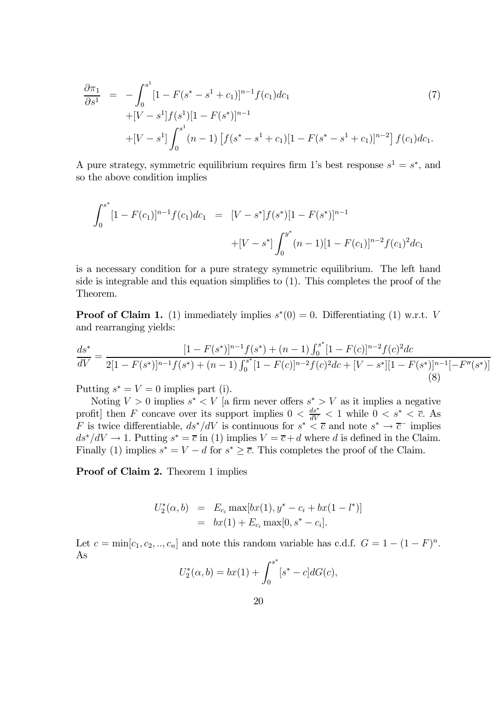$$
\frac{\partial \pi_1}{\partial s^1} = -\int_0^{s^1} [1 - F(s^* - s^1 + c_1)]^{n-1} f(c_1) dc_1
$$
\n
$$
+ [V - s^1] f(s^1) [1 - F(s^*)]^{n-1}
$$
\n
$$
+ [V - s^1] \int_0^{s^1} (n-1) [f(s^* - s^1 + c_1) [1 - F(s^* - s^1 + c_1)]^{n-2} ] f(c_1) dc_1.
$$
\n(7)

A pure strategy, symmetric equilibrium requires firm 1's best response  $s^1 = s^*$ , and so the above condition implies

$$
\int_0^{s^*} [1 - F(c_1)]^{n-1} f(c_1) dc_1 = [V - s^*] f(s^*) [1 - F(s^*)]^{n-1}
$$
  
 
$$
+ [V - s^*] \int_0^{y^*} (n-1) [1 - F(c_1)]^{n-2} f(c_1)^2 dc_1
$$

is a necessary condition for a pure strategy symmetric equilibrium. The left hand side is integrable and this equation simplifies to (1). This completes the proof of the Theorem.

**Proof of Claim 1.** (1) immediately implies  $s^*(0) = 0$ . Differentiating (1) w.r.t. V and rearranging yields:

$$
\frac{ds^*}{dV} = \frac{[1 - F(s^*)]^{n-1} f(s^*) + (n-1) \int_0^{s^*} [1 - F(c)]^{n-2} f(c)^2 dc}{2[1 - F(s^*)]^{n-1} f(s^*) + (n-1) \int_0^{s^*} [1 - F(c)]^{n-2} f(c)^2 dc + [V - s^*][1 - F(s^*)]^{n-1} [-F''(s^*)]}\tag{8}
$$

Putting  $s^* = V = 0$  implies part (i).

Noting  $V > 0$  implies  $s^* < V$  [a firm never offers  $s^* > V$  as it implies a negative profit] then F concave over its support implies  $0 < \frac{ds^*}{dV} < 1$  while  $0 < s^* < \overline{c}$ . As F is twice differentiable,  $ds^*/dV$  is continuous for  $s^* < \overline{c}$  and note  $s^* \to \overline{c}^-$  implies  $ds^*/dV \to 1$ . Putting  $s^* = \overline{c}$  in (1) implies  $V = \overline{c} + d$  where d is defined in the Claim. Finally (1) implies  $s^* = V - d$  for  $s^* \geq \overline{c}$ . This completes the proof of the Claim.

Proof of Claim 2. Theorem 1 implies

$$
U_2^*(\alpha, b) = E_{c_i} \max[bx(1), y^* - c_i + bx(1 - l^*)]
$$
  
=  $bx(1) + E_{c_i} \max[0, s^* - c_i].$ 

Let  $c = \min[c_1, c_2, \ldots, c_n]$  and note this random variable has c.d.f.  $G = 1 - (1 - F)^n$ . As

$$
U_2^*(\alpha, b) = bx(1) + \int_0^{s^*} [s^* - c] dG(c),
$$